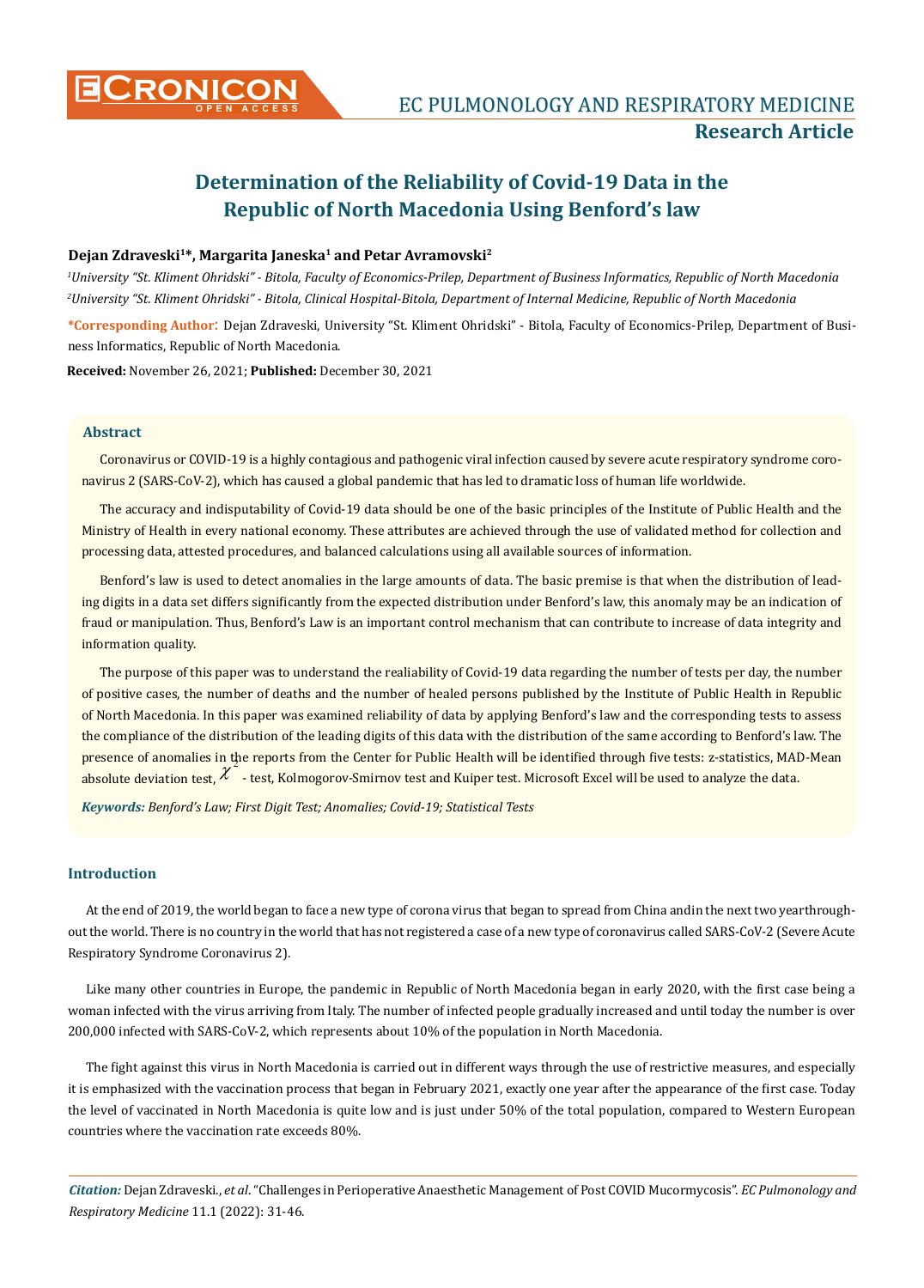

# **Determination of the Reliability of Covid-19 Data in the Republic of North Macedonia Using Benford's law**

# Dejan Zdraveski<sup>1\*</sup>, Margarita Janeska<sup>1</sup> and Petar Avramovski<sup>2</sup>

*1 University "St. Kliment Ohridski" - Bitola, Faculty of Economics-Prilep, Department of Business Informatics, Republic of North Macedonia 2 University "St. Kliment Ohridski" - Bitola, Clinical Hospital-Bitola, Department of Internal Medicine, Republic of North Macedonia*

**\*Corresponding Author**: Dejan Zdraveski, University "St. Kliment Ohridski" - Bitola, Faculty of Economics-Prilep, Department of Business Informatics, Republic of North Macedonia.

**Received:** November 26, 2021; **Published:** December 30, 2021

## **Abstract**

Coronavirus or COVID-19 is a highly contagious and pathogenic viral infection caused by severe acute respiratory syndrome coronavirus 2 (SARS-CoV-2), which has caused a global pandemic that has led to dramatic loss of human life worldwide.

The accuracy and indisputability of Covid-19 data should be one of the basic principles of the Institute of Public Health and the Ministry of Health in every national economy. These attributes are achieved through the use of validated method for collection and processing data, attested procedures, and balanced calculations using all available sources of information.

Benford's law is used to detect anomalies in the large amounts of data. The basic premise is that when the distribution of leading digits in a data set differs significantly from the expected distribution under Benford's law, this anomaly may be an indication of fraud or manipulation. Thus, Benford's Law is an important control mechanism that can contribute to increase of data integrity and information quality.

The purpose of this paper was to understand the realiability of Covid-19 data regarding the number of tests per day, the number of positive cases, the number of deaths and the number of healed persons published by the Institute of Public Health in Republic of North Macedonia. In this paper was examined reliability of data by applying Benford's law and the corresponding tests to assess the compliance of the distribution of the leading digits of this data with the distribution of the same according to Benford's law. The presence of anomalies in the reports from the Center for Public Health will be identified through five tests: z-statistics, MAD-Mean  $\mu$  absolute deviation test,  $\chi^2$  - test, Kolmogorov-Smirnov test and Kuiper test. Microsoft Excel will be used to analyze the data.

*Keywords: Benford's Law; First Digit Test; Anomalies; Covid-19; Statistical Tests*

# **Introduction**

At the end of 2019, the world began to face a new type of corona virus that began to spread from China andin the next two yearthroughout the world. There is no country in the world that has not registered a case of a new type of coronavirus called SARS-CoV-2 (Severe Acute Respiratory Syndrome Coronavirus 2).

Like many other countries in Europe, the pandemic in Republic of North Macedonia began in early 2020, with the first case being a woman infected with the virus arriving from Italy. The number of infected people gradually increased and until today the number is over 200,000 infected with SARS-CoV-2, which represents about 10% of the population in North Macedonia.

The fight against this virus in North Macedonia is carried out in different ways through the use of restrictive measures, and especially it is emphasized with the vaccination process that began in February 2021, exactly one year after the appearance of the first case. Today the level of vaccinated in North Macedonia is quite low and is just under 50% of the total population, compared to Western European countries where the vaccination rate exceeds 80%.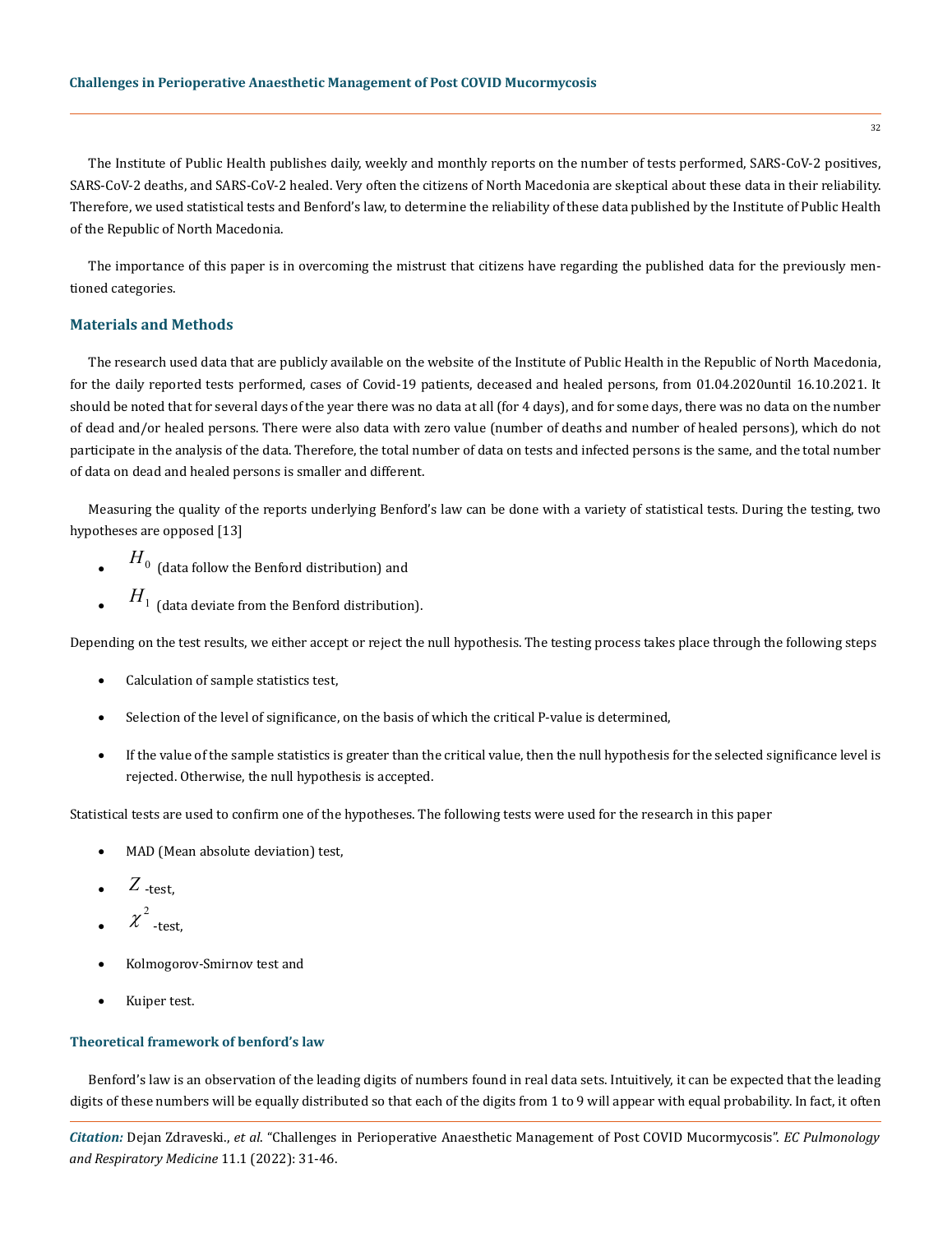The Institute of Public Health publishes daily, weekly and monthly reports on the number of tests performed, SARS-CoV-2 positives, SARS-CoV-2 deaths, and SARS-CoV-2 healed. Very often the citizens of North Macedonia are skeptical about these data in their reliability. Therefore, we used statistical tests and Benford's law, to determine the reliability of these data published by the Institute of Public Health of the Republic of North Macedonia.

The importance of this paper is in overcoming the mistrust that citizens have regarding the published data for the previously mentioned categories.

# **Materials and Methods**

The research used data that are publicly available on the website of the Institute of Public Health in the Republic of North Macedonia, for the daily reported tests performed, cases of Covid-19 patients, deceased and healed persons, from 01.04.2020until 16.10.2021. It should be noted that for several days of the year there was no data at all (for 4 days), and for some days, there was no data on the number of dead and/or healed persons. There were also data with zero value (number of deaths and number of healed persons), which do not participate in the analysis of the data. Therefore, the total number of data on tests and infected persons is the same, and the total number of data on dead and healed persons is smaller and different.

Measuring the quality of the reports underlying Benford's law can be done with a variety of statistical tests. During the testing, two hypotheses are opposed [13]

- $\overline{H}_0$  (data follow the Benford distribution) and
- $\,H_{1}^{}$  (data deviate from the Benford distribution).

Depending on the test results, we either accept or reject the null hypothesis. The testing process takes place through the following steps

- Calculation of sample statistics test,
- Selection of the level of significance, on the basis of which the critical P-value is determined,
- • If the value of the sample statistics is greater than the critical value, then the null hypothesis for the selected significance level is rejected. Otherwise, the null hypothesis is accepted.

Statistical tests are used to confirm one of the hypotheses. The following tests were used for the research in this paper

- MAD (Mean absolute deviation) test,
- $Z$  -test,
- $\chi^2$  -test,
- Kolmogorov-Smirnov test and
- Kuiper test.

# **Theoretical framework of benford's law**

Benford's law is an observation of the leading digits of numbers found in real data sets. Intuitively, it can be expected that the leading digits of these numbers will be equally distributed so that each of the digits from 1 to 9 will appear with equal probability. In fact, it often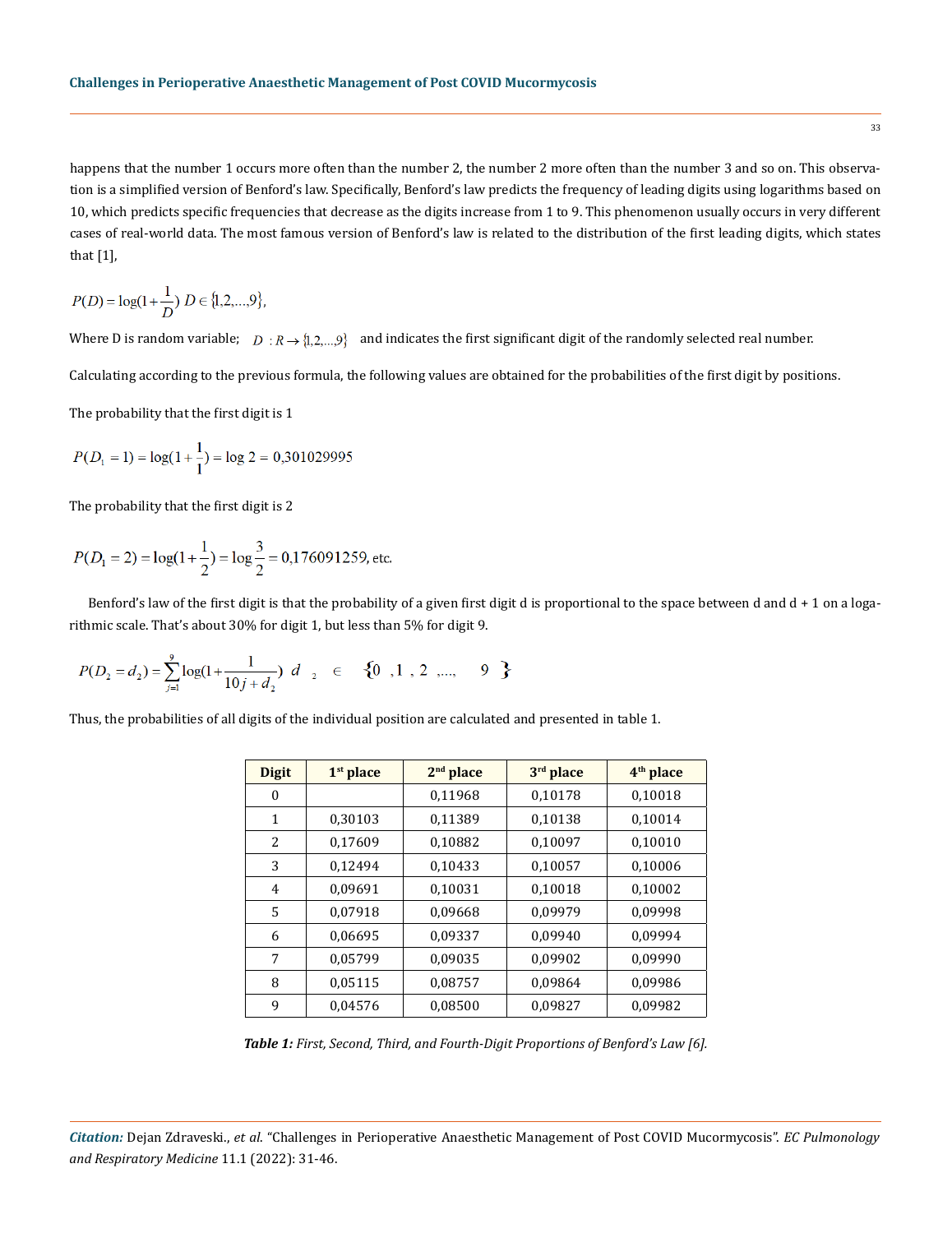happens that the number 1 occurs more often than the number 2, the number 2 more often than the number 3 and so on. This observation is a simplified version of Benford's law. Specifically, Benford's law predicts the frequency of leading digits using logarithms based on 10, which predicts specific frequencies that decrease as the digits increase from 1 to 9. This phenomenon usually occurs in very different cases of real-world data. The most famous version of Benford's law is related to the distribution of the first leading digits, which states that [1],

$$
P(D) = \log(1 + \frac{1}{D}) D \in \{1, 2, ..., 9\},\
$$

Where D is random variable;  $D: R \to \{1, 2, ..., 9\}$  and indicates the first significant digit of the randomly selected real number.

Calculating according to the previous formula, the following values are obtained for the probabilities of the first digit by positions.

The probability that the first digit is 1

$$
P(D_1 = 1) = \log(1 + \frac{1}{1}) = \log 2 = 0,301029995
$$

The probability that the first digit is 2

$$
P(D_1 = 2) = \log(1 + \frac{1}{2}) = \log\frac{3}{2} = 0,176091259
$$
, etc.

Benford's law of the first digit is that the probability of a given first digit d is proportional to the space between d and  $d + 1$  on a logarithmic scale. That's about 30% for digit 1, but less than 5% for digit 9.

$$
P(D_2 = d_2) = \sum_{j=1}^{9} \log(1 + \frac{1}{10j + d_2}) d_2 \in \{0, 1, 2, ..., 9\}
$$

Thus, the probabilities of all digits of the individual position are calculated and presented in table 1.

| <b>Digit</b> | $1st$ place | $2nd$ place | 3rd place | 4 <sup>th</sup> place |
|--------------|-------------|-------------|-----------|-----------------------|
| 0            |             | 0,11968     | 0,10178   | 0,10018               |
| 1            | 0,30103     | 0,11389     | 0,10138   | 0,10014               |
| 2            | 0,17609     | 0,10882     | 0,10097   | 0,10010               |
| 3            | 0,12494     | 0,10433     | 0,10057   | 0,10006               |
| 4            | 0,09691     | 0,10031     | 0,10018   | 0,10002               |
| 5            | 0,07918     | 0,09668     | 0,09979   | 0,09998               |
| 6            | 0,06695     | 0,09337     | 0,09940   | 0,09994               |
| 7            | 0,05799     | 0,09035     | 0,09902   | 0,09990               |
| 8            | 0,05115     | 0.08757     | 0,09864   | 0.09986               |
| 9            | 0,04576     | 0,08500     | 0,09827   | 0,09982               |

*Table 1: First, Second, Third, and Fourth-Digit Proportions of Benford's Law [6].*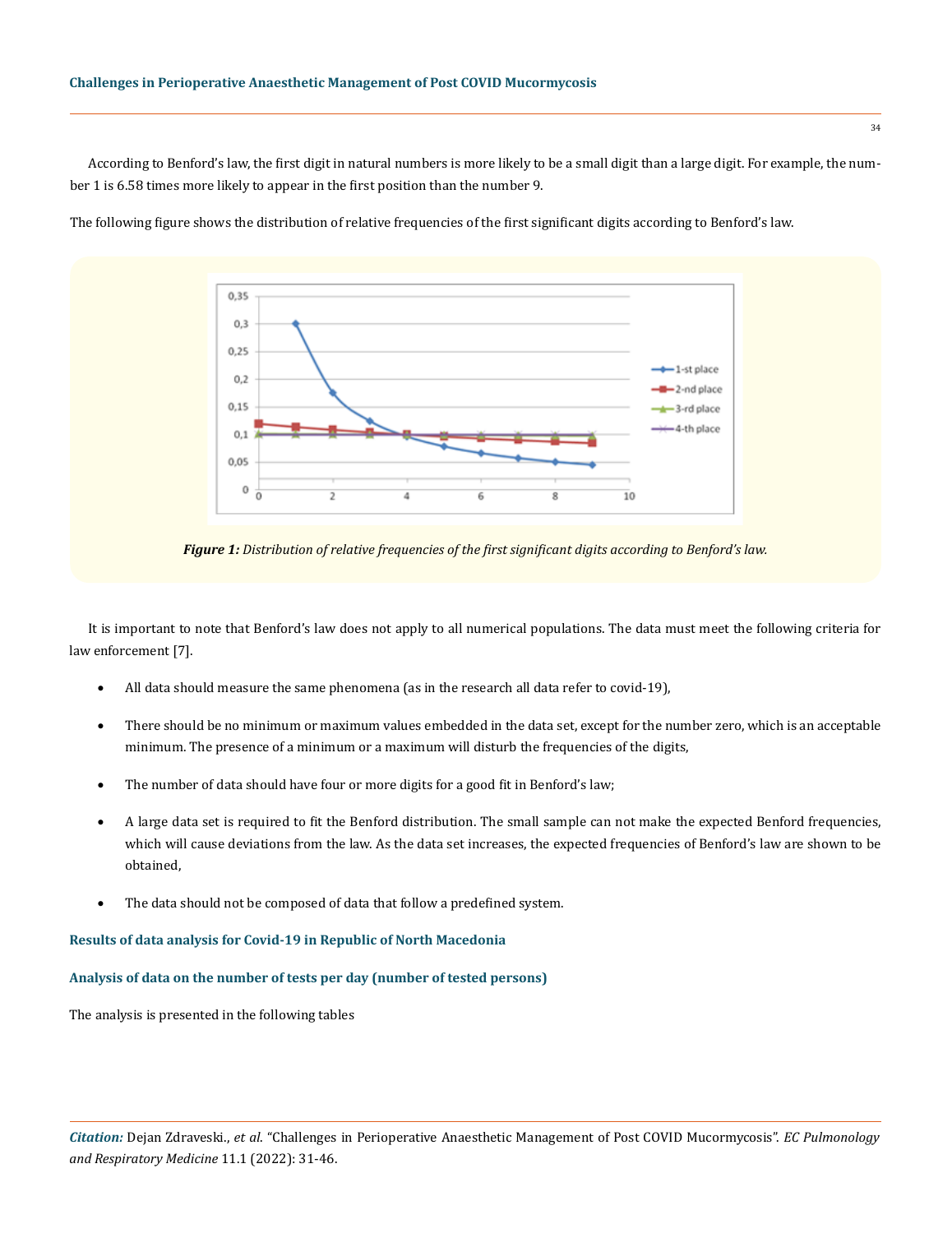According to Benford's law, the first digit in natural numbers is more likely to be a small digit than a large digit. For example, the number 1 is 6.58 times more likely to appear in the first position than the number 9.

The following figure shows the distribution of relative frequencies of the first significant digits according to Benford's law.



*Figure 1: Distribution of relative frequencies of the first significant digits according to Benford's law.*

It is important to note that Benford's law does not apply to all numerical populations. The data must meet the following criteria for law enforcement [7].

- All data should measure the same phenomena (as in the research all data refer to covid-19),
- There should be no minimum or maximum values embedded in the data set, except for the number zero, which is an acceptable minimum. The presence of a minimum or a maximum will disturb the frequencies of the digits,
- The number of data should have four or more digits for a good fit in Benford's law;
- A large data set is required to fit the Benford distribution. The small sample can not make the expected Benford frequencies, which will cause deviations from the law. As the data set increases, the expected frequencies of Benford's law are shown to be obtained,
- The data should not be composed of data that follow a predefined system.

## **Results of data analysis for Covid-19 in Republic of North Macedonia**

# **Analysis of data on the number of tests per day (number of tested persons)**

The analysis is presented in the following tables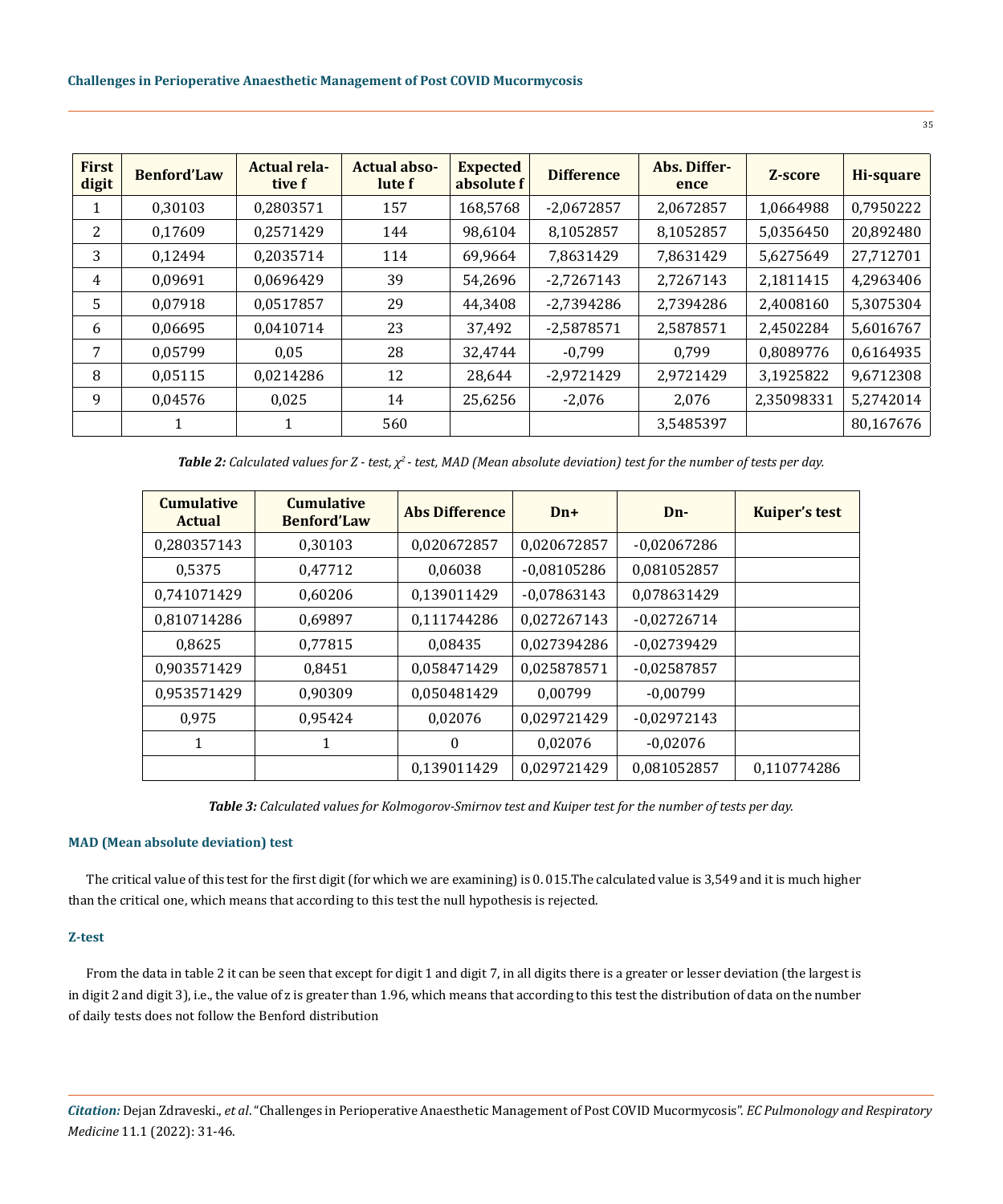| First<br>digit | <b>Benford'Law</b> | <b>Actual rela-</b><br>tive f | <b>Actual abso-</b><br>lute f | <b>Expected</b><br>absolute f | <b>Difference</b> | Abs. Differ-<br>ence | Z-score    | Hi-square |
|----------------|--------------------|-------------------------------|-------------------------------|-------------------------------|-------------------|----------------------|------------|-----------|
|                | 0,30103            | 0,2803571                     | 157                           | 168,5768                      | $-2,0672857$      | 2,0672857            | 1.0664988  | 0,7950222 |
| 2              | 0,17609            | 0,2571429                     | 144                           | 98,6104                       | 8,1052857         | 8,1052857            | 5,0356450  | 20,892480 |
| 3              | 0,12494            | 0,2035714                     | 114                           | 69,9664                       | 7,8631429         | 7,8631429            | 5,6275649  | 27,712701 |
| 4              | 0,09691            | 0,0696429                     | 39                            | 54,2696                       | $-2,7267143$      | 2,7267143            | 2,1811415  | 4,2963406 |
| 5              | 0,07918            | 0.0517857                     | 29                            | 44,3408                       | $-2,7394286$      | 2,7394286            | 2,4008160  | 5,3075304 |
| 6              | 0,06695            | 0,0410714                     | 23                            | 37,492                        | $-2,5878571$      | 2,5878571            | 2,4502284  | 5,6016767 |
| 7              | 0,05799            | 0.05                          | 28                            | 32,4744                       | $-0,799$          | 0,799                | 0,8089776  | 0,6164935 |
| 8              | 0,05115            | 0,0214286                     | 12                            | 28,644                        | $-2,9721429$      | 2,9721429            | 3,1925822  | 9,6712308 |
| 9              | 0,04576            | 0,025                         | 14                            | 25,6256                       | $-2,076$          | 2,076                | 2,35098331 | 5,2742014 |
|                | 1                  |                               | 560                           |                               |                   | 3,5485397            |            | 80,167676 |

*Table 2: Calculated values for Z - test, χ2 - test, MAD (Mean absolute deviation) test for the number of tests per day.*

| <b>Cumulative</b><br><b>Actual</b> | <b>Cumulative</b><br><b>Benford'Law</b> | <b>Abs Difference</b> | $Dn+$         | Dn-           | <b>Kuiper's test</b> |
|------------------------------------|-----------------------------------------|-----------------------|---------------|---------------|----------------------|
| 0,280357143                        | 0.30103                                 | 0,020672857           | 0,020672857   | $-0,02067286$ |                      |
| 0.5375                             | 0,47712                                 | 0,06038               | $-0,08105286$ | 0,081052857   |                      |
| 0,741071429                        | 0,60206                                 | 0,139011429           | $-0,07863143$ | 0,078631429   |                      |
| 0,810714286                        | 0,69897                                 | 0,111744286           | 0,027267143   | $-0,02726714$ |                      |
| 0,8625                             | 0,77815                                 | 0,08435               | 0.027394286   | $-0.02739429$ |                      |
| 0,903571429                        | 0,8451                                  | 0,058471429           | 0,025878571   | $-0,02587857$ |                      |
| 0,953571429                        | 0.90309                                 | 0,050481429           | 0.00799       | $-0.00799$    |                      |
| 0,975                              | 0,95424                                 | 0,02076               | 0,029721429   | $-0,02972143$ |                      |
| 1                                  |                                         | $\boldsymbol{0}$      | 0,02076       | $-0,02076$    |                      |
|                                    |                                         | 0,139011429           | 0,029721429   | 0,081052857   | 0,110774286          |

*Table 3: Calculated values for Kolmogorov-Smirnov test and Kuiper test for the number of tests per day.*

# **MAD (Mean absolute deviation) test**

The critical value of this test for the first digit (for which we are examining) is 0. 015.The calculated value is 3,549 and it is much higher than the critical one, which means that according to this test the null hypothesis is rejected.

# **Z-test**

From the data in table 2 it can be seen that except for digit 1 and digit 7, in all digits there is a greater or lesser deviation (the largest is in digit 2 and digit 3), i.e., the value of z is greater than 1.96, which means that according to this test the distribution of data on the number of daily tests does not follow the Benford distribution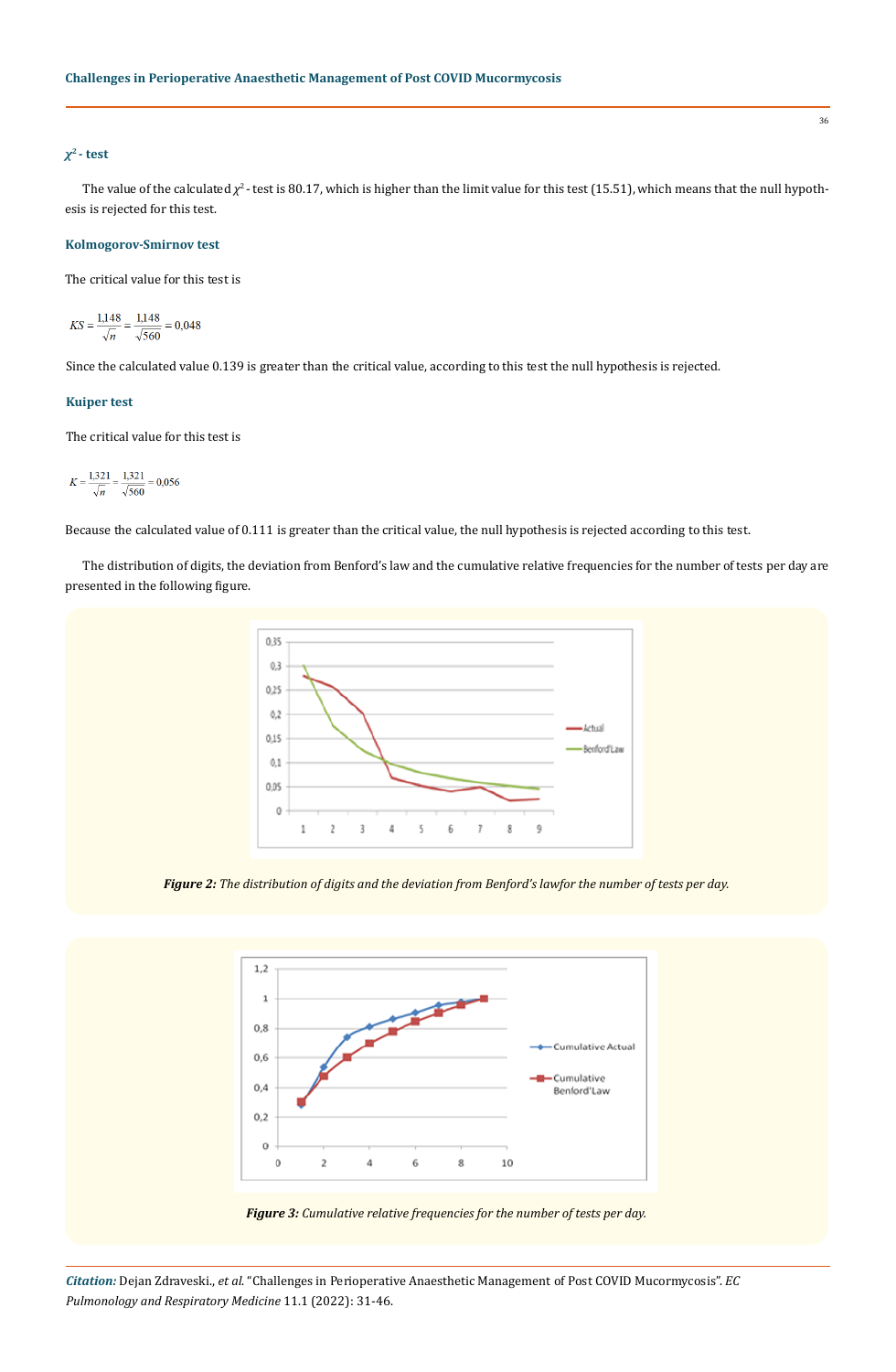## *χ***2 - test**

The value of the calculated  $\chi^2$ - test is 80.17, which is higher than the limit value for this test (15.51), which means that the null hypothesis is rejected for this test.

#### **Kolmogorov-Smirnov test**

The critical value for this test is

$$
KS = \frac{1,148}{\sqrt{n}} = \frac{1,148}{\sqrt{560}} = 0,048
$$

Since the calculated value 0.139 is greater than the critical value, according to this test the null hypothesis is rejected.

# **Kuiper test**

The critical value for this test is

 $K = \frac{1,321}{\sqrt{n}} = \frac{1,321}{\sqrt{560}} = 0,056$ 

Because the calculated value of 0.111 is greater than the critical value, the null hypothesis is rejected according to this test.

The distribution of digits, the deviation from Benford's law and the cumulative relative frequencies for the number of tests per day are presented in the following figure.



*Figure 2: The distribution of digits and the deviation from Benford's lawfor the number of tests per day.*

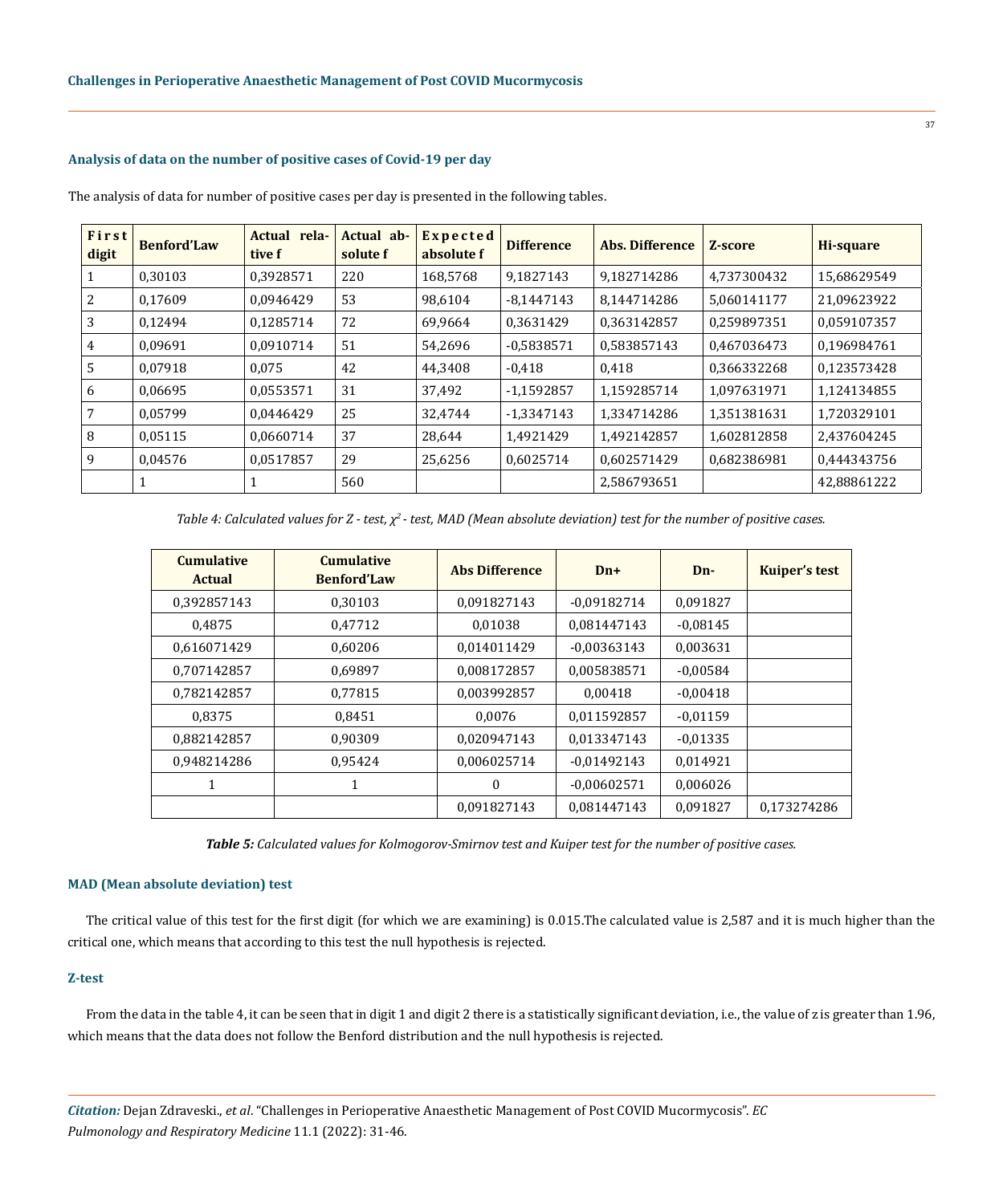## **Analysis of data on the number of positive cases of Covid-19 per day**

| First<br>digit | <b>Benford'Law</b> | Actual rela-<br>tive f | Actual ab-<br>solute f | <b>Expected</b><br>absolute f | <b>Difference</b> | Abs. Difference | Z-score     | Hi-square   |
|----------------|--------------------|------------------------|------------------------|-------------------------------|-------------------|-----------------|-------------|-------------|
|                | 0.30103            | 0,3928571              | 220                    | 168,5768                      | 9,1827143         | 9.182714286     | 4.737300432 | 15,68629549 |
| 2              | 0,17609            | 0,0946429              | 53                     | 98,6104                       | -8,1447143        | 8.144714286     | 5.060141177 | 21,09623922 |
| 3              | 0.12494            | 0.1285714              | 72                     | 69,9664                       | 0,3631429         | 0.363142857     | 0.259897351 | 0,059107357 |
| 4              | 0.09691            | 0,0910714              | 51                     | 54,2696                       | $-0,5838571$      | 0,583857143     | 0.467036473 | 0.196984761 |
| 5              | 0,07918            | 0,075                  | 42                     | 44,3408                       | $-0.418$          | 0,418           | 0,366332268 | 0,123573428 |
| 6              | 0.06695            | 0.0553571              | 31                     | 37,492                        | $-1,1592857$      | 1.159285714     | 1.097631971 | 1,124134855 |
|                | 0.05799            | 0.0446429              | 25                     | 32,4744                       | -1,3347143        | 1.334714286     | 1.351381631 | 1,720329101 |
| 8              | 0,05115            | 0,0660714              | 37                     | 28,644                        | 1,4921429         | 1,492142857     | 1,602812858 | 2,437604245 |
| 9              | 0.04576            | 0.0517857              | 29                     | 25,6256                       | 0.6025714         | 0.602571429     | 0.682386981 | 0,444343756 |
|                |                    |                        | 560                    |                               |                   | 2,586793651     |             | 42,88861222 |

The analysis of data for number of positive cases per day is presented in the following tables.

*Table 4: Calculated values for Z - test, χ2 - test, MAD (Mean absolute deviation) test for the number of positive cases.*

| <b>Cumulative</b><br><b>Actual</b> | <b>Cumulative</b><br><b>Benford'Law</b> | <b>Abs Difference</b> | $Dn+$         | $Dn-$      | <b>Kuiper's test</b> |
|------------------------------------|-----------------------------------------|-----------------------|---------------|------------|----------------------|
| 0.392857143                        | 0.30103                                 | 0.091827143           | $-0.09182714$ | 0,091827   |                      |
| 0.4875                             | 0,47712                                 | 0.01038               | 0,081447143   | $-0.08145$ |                      |
| 0.616071429                        | 0.60206                                 | 0.014011429           | $-0.00363143$ | 0.003631   |                      |
| 0.707142857                        | 0.69897                                 | 0.008172857           | 0.005838571   | $-0.00584$ |                      |
| 0.782142857                        | 0.77815                                 | 0.003992857           | 0.00418       | $-0.00418$ |                      |
| 0.8375                             | 0.8451                                  | 0.0076                | 0,011592857   | $-0.01159$ |                      |
| 0,882142857                        | 0.90309                                 | 0.020947143           | 0,013347143   | $-0.01335$ |                      |
| 0.948214286                        | 0.95424                                 | 0.006025714           | $-0.01492143$ | 0.014921   |                      |
| 1                                  | 1                                       | $\mathbf{0}$          | $-0.00602571$ | 0.006026   |                      |
|                                    |                                         | 0.091827143           | 0.081447143   | 0,091827   | 0.173274286          |

*Table 5: Calculated values for Kolmogorov-Smirnov test and Kuiper test for the number of positive cases.*

#### **MAD (Mean absolute deviation) test**

The critical value of this test for the first digit (for which we are examining) is 0.015.The calculated value is 2,587 and it is much higher than the critical one, which means that according to this test the null hypothesis is rejected.

#### **Z-test**

From the data in the table 4, it can be seen that in digit 1 and digit 2 there is a statistically significant deviation, i.e., the value of z is greater than 1.96, which means that the data does not follow the Benford distribution and the null hypothesis is rejected.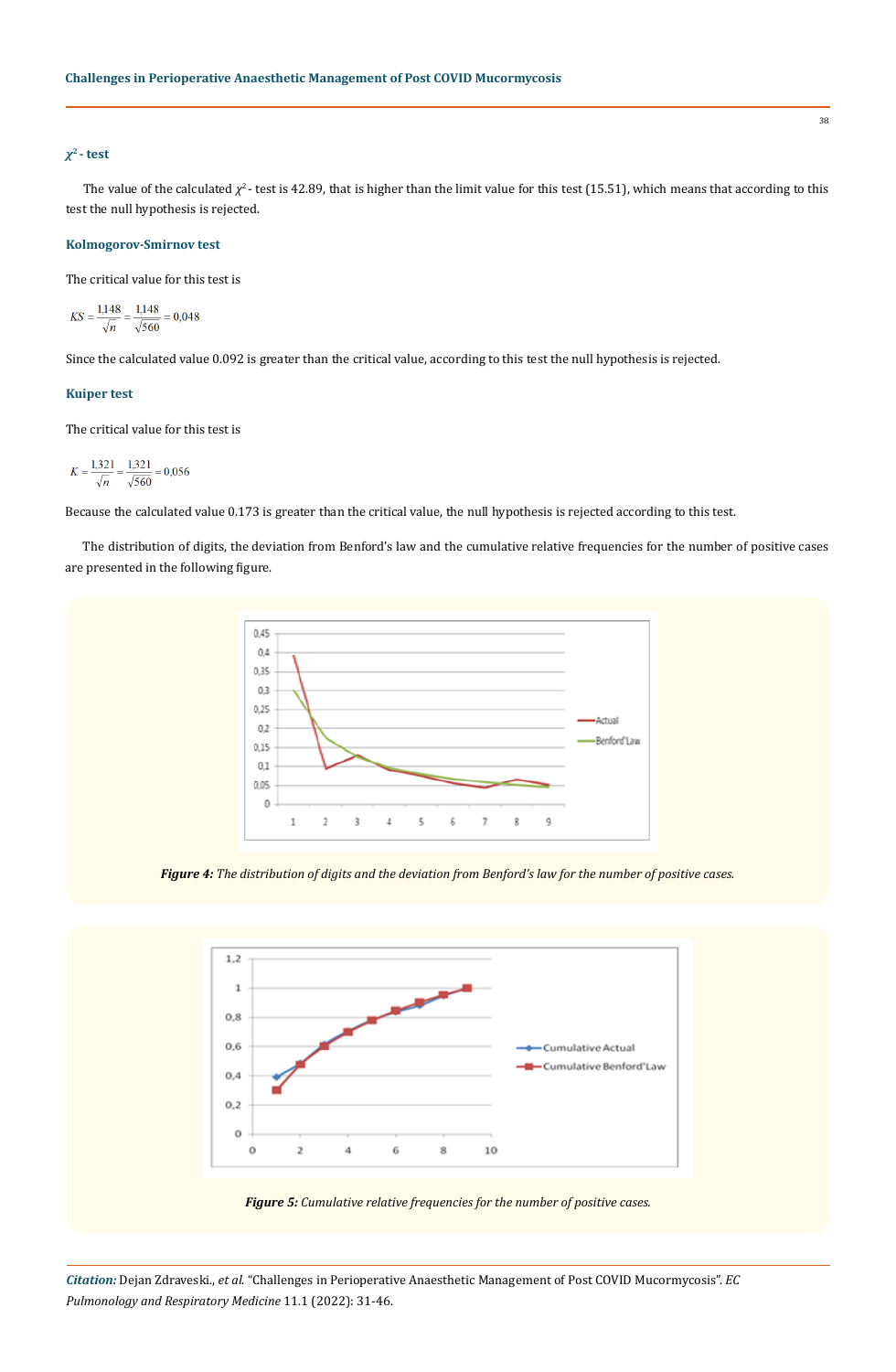## *χ***2 - test**

The value of the calculated  $\chi^2$ - test is 42.89, that is higher than the limit value for this test (15.51), which means that according to this test the null hypothesis is rejected.

#### **Kolmogorov-Smirnov test**

The critical value for this test is

$$
KS = \frac{1,148}{\sqrt{n}} = \frac{1,148}{\sqrt{560}} = 0,048
$$

Since the calculated value 0.092 is greater than the critical value, according to this test the null hypothesis is rejected.

# **Kuiper test**

The critical value for this test is

$$
K = \frac{1,321}{\sqrt{n}} = \frac{1,321}{\sqrt{560}} = 0,056
$$

Because the calculated value 0.173 is greater than the critical value, the null hypothesis is rejected according to this test.

The distribution of digits, the deviation from Benford's law and the cumulative relative frequencies for the number of positive cases are presented in the following figure.



*Figure 4: The distribution of digits and the deviation from Benford's law for the number of positive cases.*





*Citation:* Dejan Zdraveski., *et al*. "Challenges in Perioperative Anaesthetic Management of Post COVID Mucormycosis". *EC Pulmonology and Respiratory Medicine* 11.1 (2022): 31-46.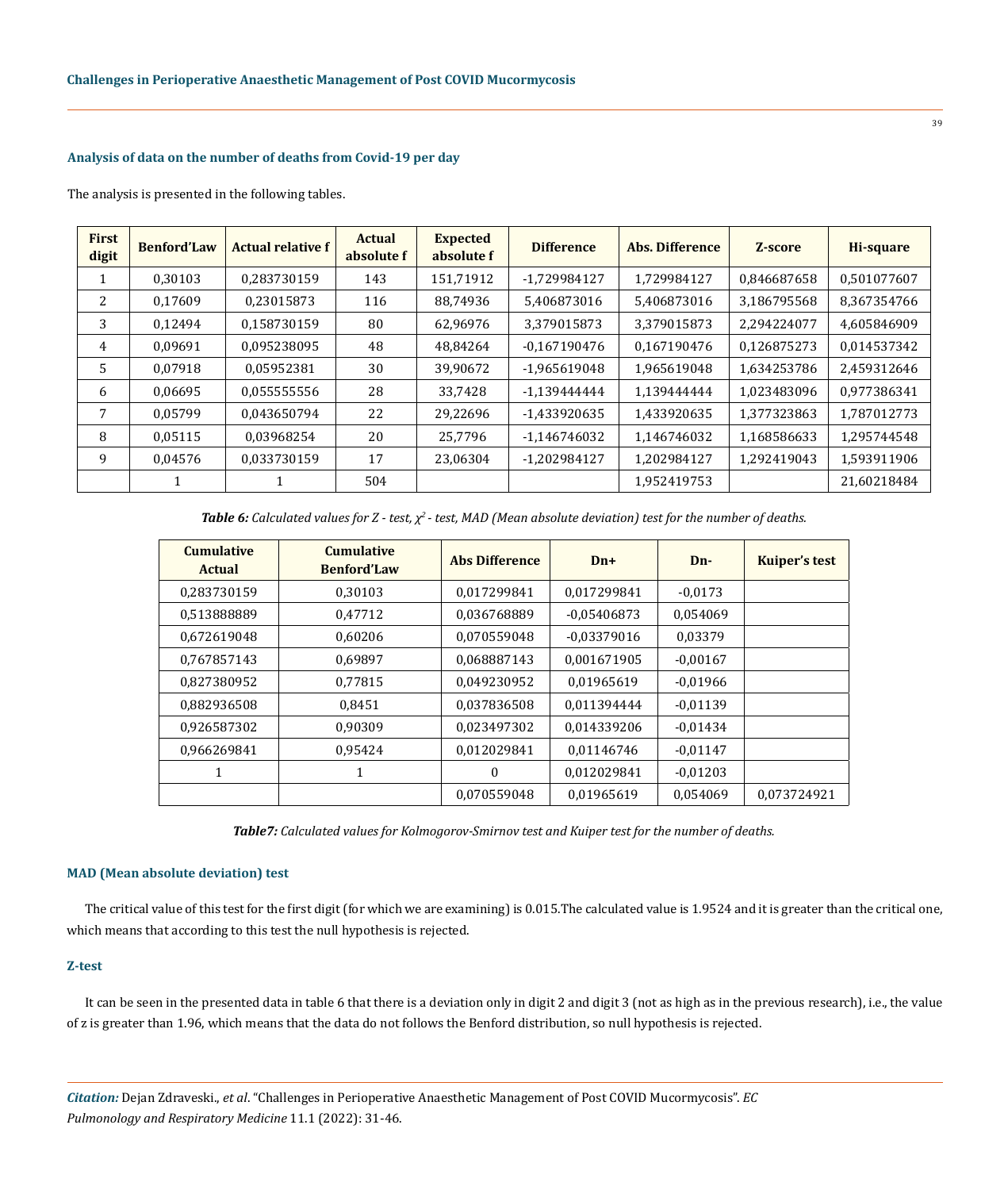## **Analysis of data on the number of deaths from Covid-19 per day**

The analysis is presented in the following tables.

| <b>First</b><br>digit | <b>Benford'Law</b> | <b>Actual relative f</b> | <b>Actual</b><br>absolute f | <b>Expected</b><br>absolute f | <b>Difference</b> | <b>Abs. Difference</b> | Z-score     | Hi-square   |
|-----------------------|--------------------|--------------------------|-----------------------------|-------------------------------|-------------------|------------------------|-------------|-------------|
| $\perp$               | 0.30103            | 0.283730159              | 143                         | 151,71912                     | -1,729984127      | 1.729984127            | 0.846687658 | 0,501077607 |
| 2                     | 0.17609            | 0,23015873               | 116                         | 88,74936                      | 5,406873016       | 5,406873016            | 3,186795568 | 8,367354766 |
| 3                     | 0.12494            | 0.158730159              | 80                          | 62,96976                      | 3.379015873       | 3.379015873            | 2.294224077 | 4,605846909 |
| 4                     | 0.09691            | 0.095238095              | 48                          | 48,84264                      | $-0.167190476$    | 0.167190476            | 0.126875273 | 0.014537342 |
| .5                    | 0.07918            | 0.05952381               | 30                          | 39,90672                      | -1.965619048      | 1,965619048            | 1,634253786 | 2,459312646 |
| 6                     | 0.06695            | 0.055555556              | 28                          | 33,7428                       | -1.139444444      | 1.139444444            | 1.023483096 | 0,977386341 |
| 7                     | 0.05799            | 0.043650794              | 22                          | 29,22696                      | -1,433920635      | 1,433920635            | 1.377323863 | 1.787012773 |
| 8                     | 0.05115            | 0.03968254               | 20                          | 25.7796                       | -1.146746032      | 1,146746032            | 1.168586633 | 1.295744548 |
| 9                     | 0,04576            | 0,033730159              | 17                          | 23,06304                      | -1,202984127      | 1,202984127            | 1,292419043 | 1,593911906 |
|                       |                    |                          | 504                         |                               |                   | 1,952419753            |             | 21,60218484 |

*Table 6: Calculated values for Z - test, χ2 - test, MAD (Mean absolute deviation) test for the number of deaths.*

| <b>Cumulative</b><br><b>Actual</b> | <b>Cumulative</b><br><b>Benford'Law</b> | <b>Abs Difference</b> | $Dn+$         | $Dn-$      | <b>Kuiper's test</b> |
|------------------------------------|-----------------------------------------|-----------------------|---------------|------------|----------------------|
| 0.283730159                        | 0.30103                                 | 0.017299841           | 0.017299841   | $-0.0173$  |                      |
| 0,513888889                        | 0,47712                                 | 0,036768889           | $-0.05406873$ | 0,054069   |                      |
| 0.672619048                        | 0.60206                                 | 0.070559048           | $-0.03379016$ | 0,03379    |                      |
| 0.767857143                        | 0.69897                                 | 0.068887143           | 0.001671905   | $-0,00167$ |                      |
| 0.827380952                        | 0.77815                                 | 0.049230952           | 0.01965619    | $-0.01966$ |                      |
| 0,882936508                        | 0,8451                                  | 0,037836508           | 0,011394444   | $-0,01139$ |                      |
| 0.926587302                        | 0.90309                                 | 0.023497302           | 0.014339206   | $-0,01434$ |                      |
| 0.966269841                        | 0.95424                                 | 0.012029841           | 0.01146746    | $-0.01147$ |                      |
| 1                                  | 1                                       | $\Omega$              | 0.012029841   | $-0.01203$ |                      |
|                                    |                                         | 0.070559048           | 0.01965619    | 0.054069   | 0.073724921          |

*Table7: Calculated values for Kolmogorov-Smirnov test and Kuiper test for the number of deaths.*

#### **MAD (Mean absolute deviation) test**

The critical value of this test for the first digit (for which we are examining) is 0.015.The calculated value is 1.9524 and it is greater than the critical one, which means that according to this test the null hypothesis is rejected.

#### **Z-test**

It can be seen in the presented data in table 6 that there is a deviation only in digit 2 and digit 3 (not as high as in the previous research), i.e., the value of z is greater than 1.96, which means that the data do not follows the Benford distribution, so null hypothesis is rejected.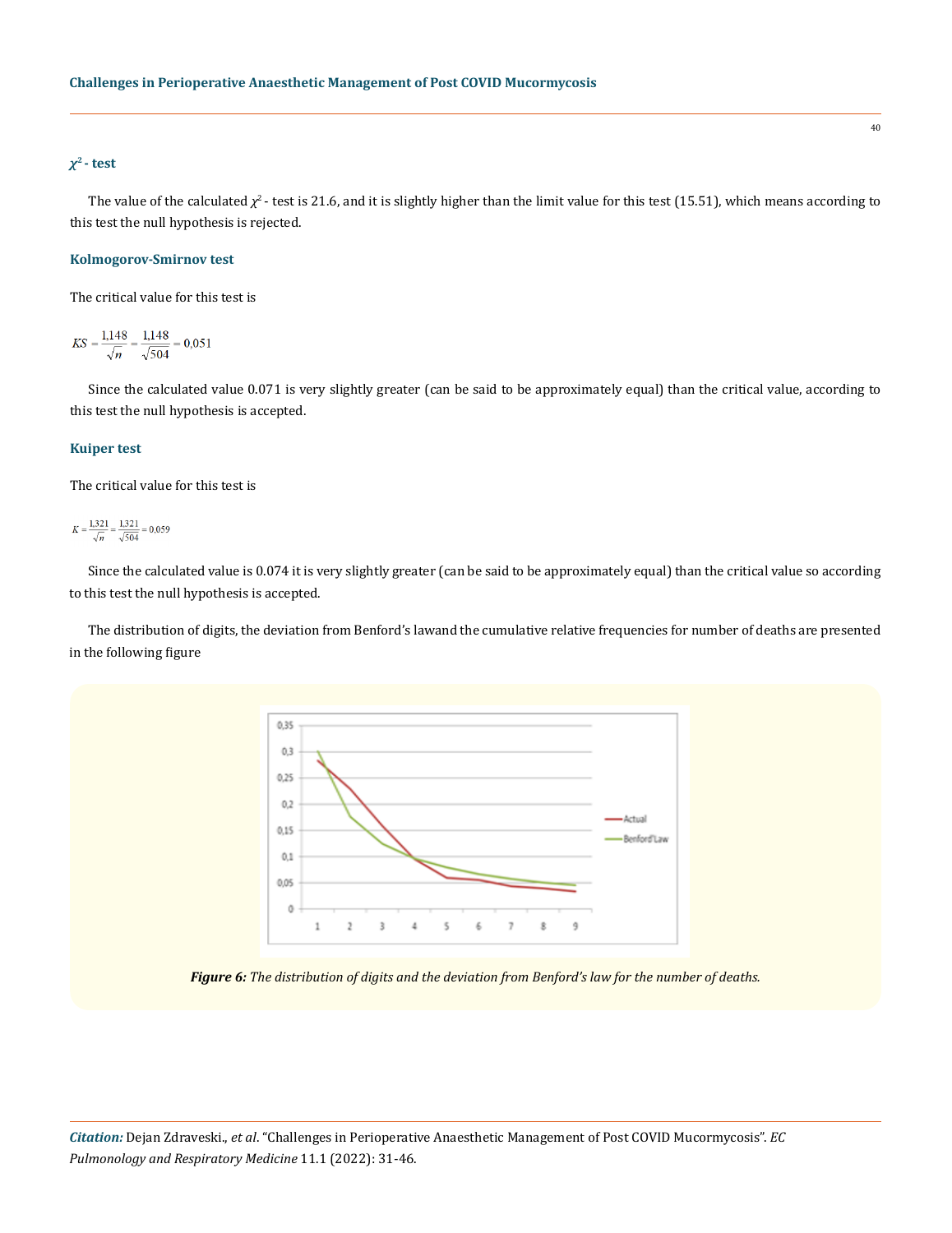## *χ***2 - test**

The value of the calculated  $\chi^2$ - test is 21.6, and it is slightly higher than the limit value for this test (15.51), which means according to this test the null hypothesis is rejected.

#### **Kolmogorov-Smirnov test**

The critical value for this test is

 $KS = \frac{1,148}{\sqrt{n}} = \frac{1,148}{\sqrt{504}} = 0,051$ 

Since the calculated value 0.071 is very slightly greater (can be said to be approximately equal) than the critical value, according to this test the null hypothesis is accepted.

## **Kuiper test**

The critical value for this test is

 $K = \frac{1,321}{\sqrt{n}} = \frac{1,321}{\sqrt{504}} = 0,059$ 

Since the calculated value is 0.074 it is very slightly greater (can be said to be approximately equal) than the critical value so according to this test the null hypothesis is accepted.

The distribution of digits, the deviation from Benford's lawand the cumulative relative frequencies for number of deaths are presented in the following figure



*Figure 6: The distribution of digits and the deviation from Benford's law for the number of deaths.*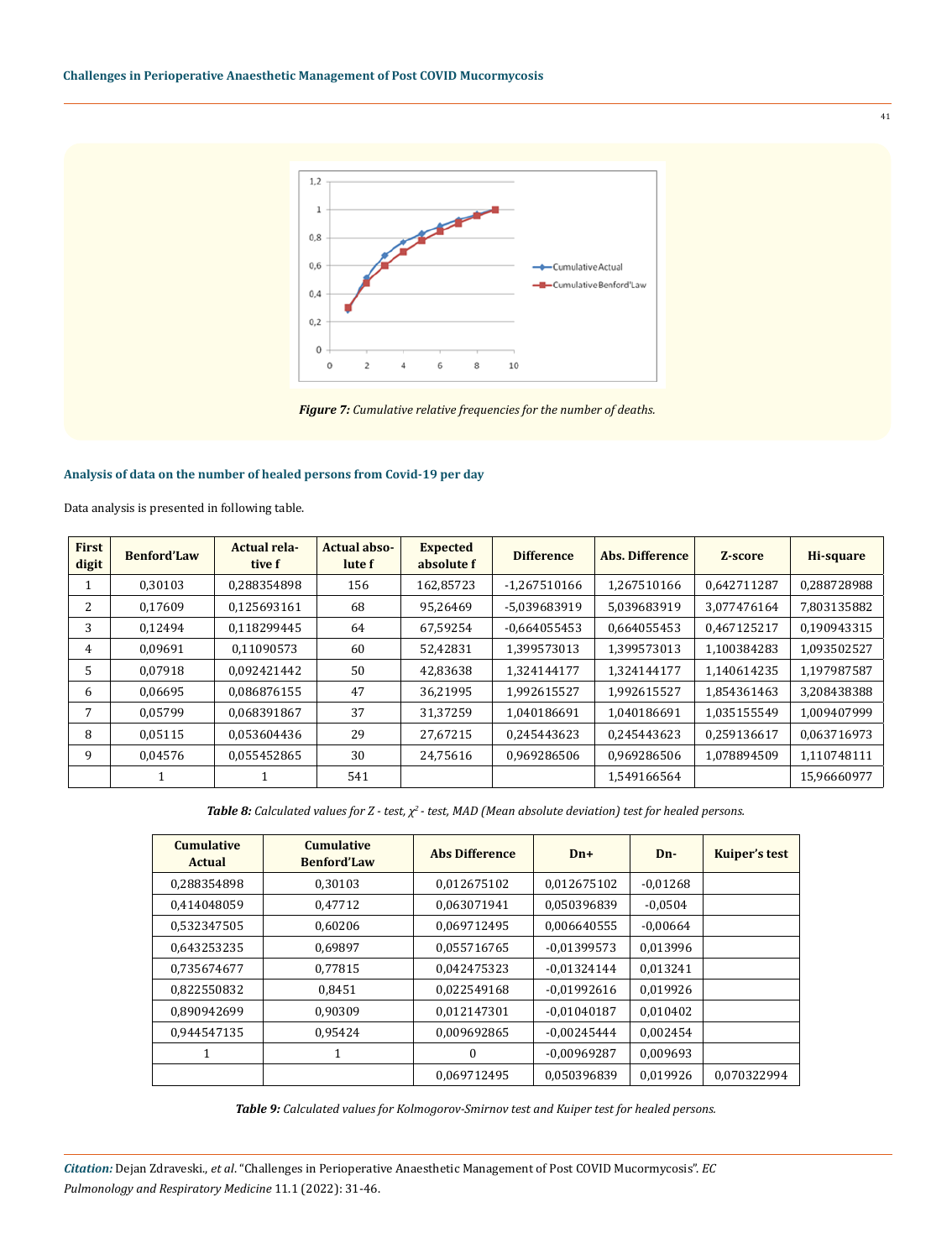

*Figure 7: Cumulative relative frequencies for the number of deaths.*

# **Analysis of data on the number of healed persons from Covid-19 per day**

Data analysis is presented in following table.

| <b>First</b><br>digit | <b>Benford'Law</b> | <b>Actual rela-</b><br>tive f | <b>Actual abso-</b><br>lute f | <b>Expected</b><br>absolute f | <b>Difference</b> | <b>Abs. Difference</b> | Z-score     | Hi-square   |
|-----------------------|--------------------|-------------------------------|-------------------------------|-------------------------------|-------------------|------------------------|-------------|-------------|
|                       | 0.30103            | 0,288354898                   | 156                           | 162,85723                     | $-1,267510166$    | 1,267510166            | 0,642711287 | 0.288728988 |
| 2                     | 0.17609            | 0,125693161                   | 68                            | 95,26469                      | -5,039683919      | 5,039683919            | 3,077476164 | 7,803135882 |
| 3                     | 0.12494            | 0.118299445                   | 64                            | 67,59254                      | $-0.664055453$    | 0,664055453            | 0,467125217 | 0,190943315 |
| 4                     | 0.09691            | 0.11090573                    | 60                            | 52,42831                      | 1,399573013       | 1,399573013            | 1.100384283 | 1,093502527 |
| 5                     | 0.07918            | 0.092421442                   | 50                            | 42,83638                      | 1,324144177       | 1,324144177            | 1,140614235 | 1,197987587 |
| 6                     | 0,06695            | 0.086876155                   | 47                            | 36,21995                      | 1,992615527       | 1,992615527            | 1.854361463 | 3.208438388 |
| 7                     | 0.05799            | 0,068391867                   | 37                            | 31,37259                      | 1,040186691       | 1,040186691            | 1,035155549 | 1,009407999 |
| 8                     | 0,05115            | 0,053604436                   | 29                            | 27,67215                      | 0,245443623       | 0,245443623            | 0,259136617 | 0,063716973 |
| 9                     | 0,04576            | 0,055452865                   | 30                            | 24,75616                      | 0,969286506       | 0,969286506            | 1,078894509 | 1,110748111 |
|                       | 1                  |                               | 541                           |                               |                   | 1,549166564            |             | 15,96660977 |

*Table 8: Calculated values for Z - test, χ2 - test, MAD (Mean absolute deviation) test for healed persons.*

| <b>Cumulative</b><br><b>Actual</b> | <b>Cumulative</b><br><b>Benford'Law</b> | <b>Abs Difference</b> | $Dn+$         | $Dn-$      | <b>Kuiper's test</b> |
|------------------------------------|-----------------------------------------|-----------------------|---------------|------------|----------------------|
| 0,288354898                        | 0.30103                                 | 0,012675102           | 0,012675102   | $-0.01268$ |                      |
| 0.414048059                        | 0,47712                                 | 0.063071941           | 0.050396839   | $-0.0504$  |                      |
| 0.532347505                        | 0,60206                                 | 0,069712495           | 0.006640555   | $-0,00664$ |                      |
| 0.643253235                        | 0.69897                                 | 0.055716765           | $-0.01399573$ | 0,013996   |                      |
| 0.735674677                        | 0.77815                                 | 0.042475323           | $-0.01324144$ | 0.013241   |                      |
| 0,822550832                        | 0.8451                                  | 0.022549168           | $-0.01992616$ | 0.019926   |                      |
| 0,890942699                        | 0.90309                                 | 0,012147301           | $-0.01040187$ | 0,010402   |                      |
| 0.944547135                        | 0,95424                                 | 0,009692865           | $-0.00245444$ | 0,002454   |                      |
| 1                                  | 1                                       | $\Omega$              | $-0.00969287$ | 0,009693   |                      |
|                                    |                                         | 0.069712495           | 0.050396839   | 0.019926   | 0.070322994          |

*Table 9: Calculated values for Kolmogorov-Smirnov test and Kuiper test for healed persons.*

*Citation:* Dejan Zdraveski., *et al*. "Challenges in Perioperative Anaesthetic Management of Post COVID Mucormycosis". *EC Pulmonology and Respiratory Medicine* 11.1 (2022): 31-46.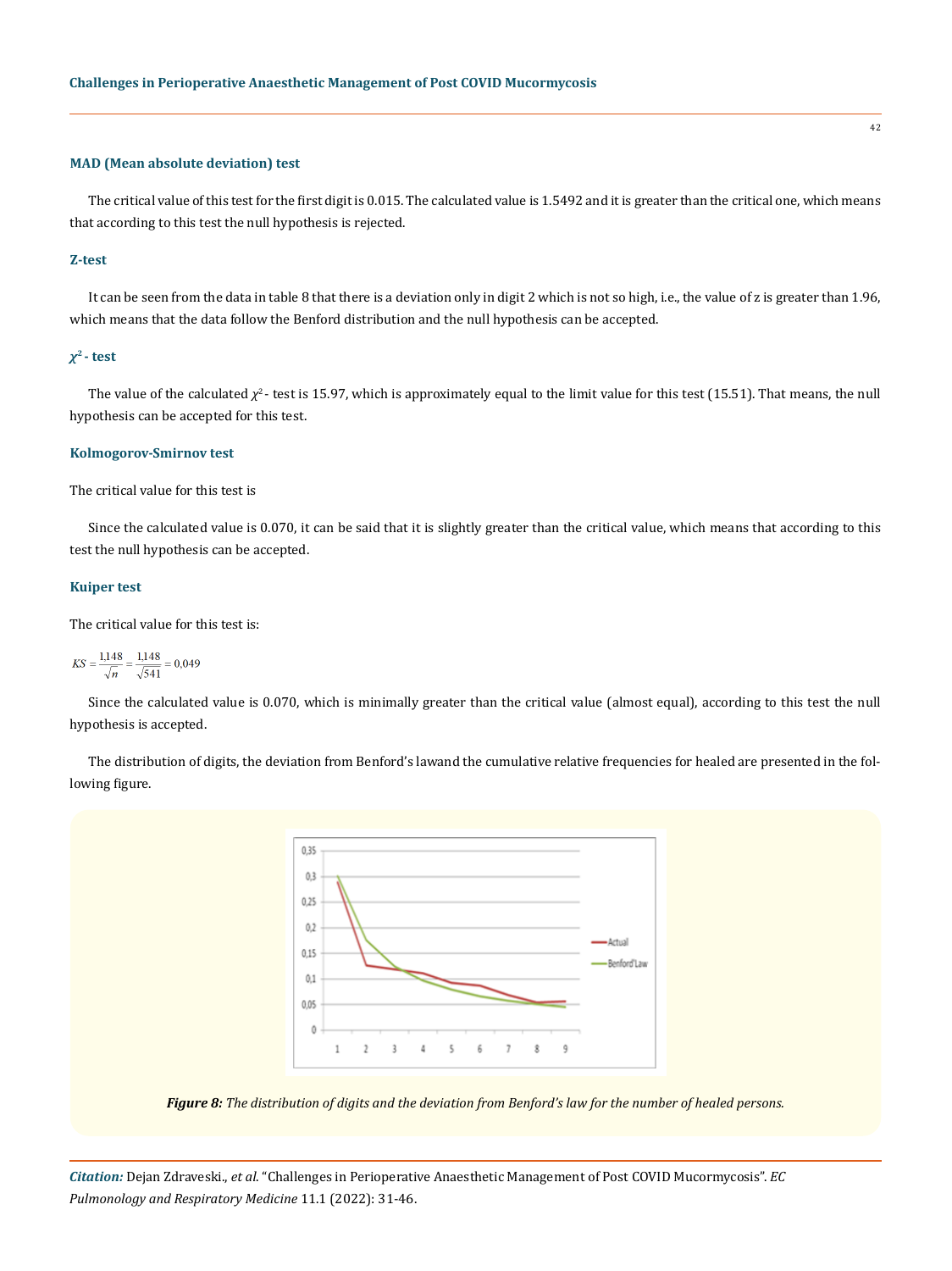#### **MAD (Mean absolute deviation) test**

The critical value of this test for the first digit is 0.015. The calculated value is 1.5492 and it is greater than the critical one, which means that according to this test the null hypothesis is rejected.

#### **Z-test**

It can be seen from the data in table 8 that there is a deviation only in digit 2 which is not so high, i.e., the value of z is greater than 1.96, which means that the data follow the Benford distribution and the null hypothesis can be accepted.

#### *χ***2 - test**

The value of the calculated  $\chi^2$ - test is 15.97, which is approximately equal to the limit value for this test (15.51). That means, the null hypothesis can be accepted for this test.

## **Kolmogorov-Smirnov test**

The critical value for this test is

Since the calculated value is 0.070, it can be said that it is slightly greater than the critical value, which means that according to this test the null hypothesis can be accepted.

## **Kuiper test**

The critical value for this test is:

$$
KS = \frac{1,148}{\sqrt{n}} = \frac{1,148}{\sqrt{541}} = 0,049
$$

Since the calculated value is 0.070, which is minimally greater than the critical value (almost equal), according to this test the null hypothesis is accepted.

The distribution of digits, the deviation from Benford's lawand the cumulative relative frequencies for healed are presented in the following figure.



*Figure 8: The distribution of digits and the deviation from Benford's law for the number of healed persons.*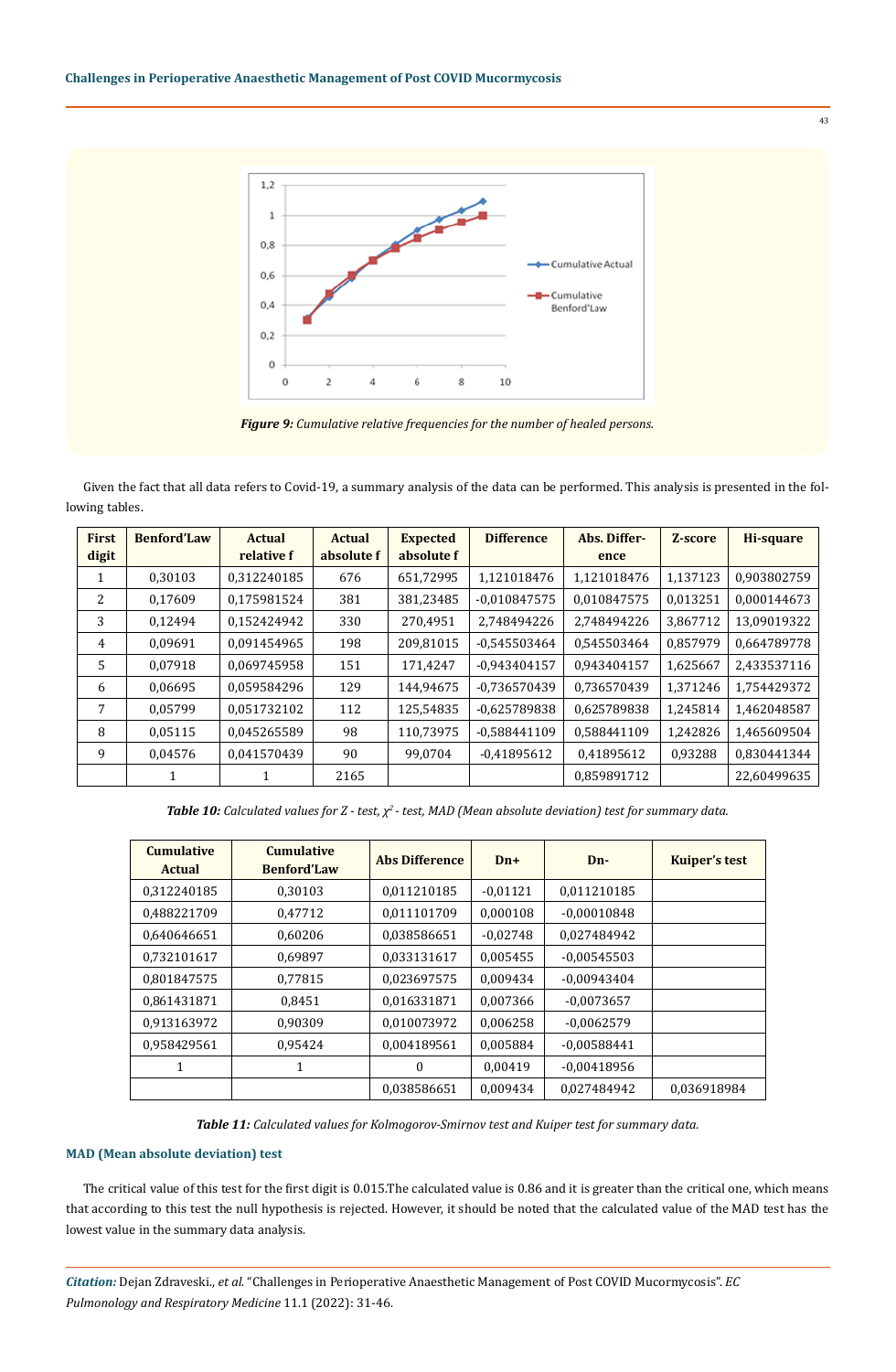

*Figure 9: Cumulative relative frequencies for the number of healed persons.*

Given the fact that all data refers to Covid-19, a summary analysis of the data can be performed. This analysis is presented in the following tables.

| <b>First</b><br>digit | <b>Benford'Law</b> | <b>Actual</b><br>relative f | <b>Actual</b><br>absolute f | <b>Expected</b><br>absolute f | <b>Difference</b> | Abs. Differ-<br>ence | Z-score  | <b>Hi-square</b> |
|-----------------------|--------------------|-----------------------------|-----------------------------|-------------------------------|-------------------|----------------------|----------|------------------|
|                       | 0,30103            | 0.312240185                 | 676                         | 651,72995                     | 1,121018476       | 1,121018476          | 1,137123 | 0.903802759      |
| 2                     | 0,17609            | 0,175981524                 | 381                         | 381,23485                     | $-0.010847575$    | 0,010847575          | 0,013251 | 0,000144673      |
| 3                     | 0.12494            | 0.152424942                 | 330                         | 270,4951                      | 2.748494226       | 2.748494226          | 3,867712 | 13,09019322      |
| 4                     | 0,09691            | 0.091454965                 | 198                         | 209,81015                     | $-0.545503464$    | 0,545503464          | 0,857979 | 0,664789778      |
| $\overline{5}$        | 0.07918            | 0.069745958                 | 151                         | 171,4247                      | $-0.943404157$    | 0.943404157          | 1,625667 | 2.433537116      |
| 6                     | 0,06695            | 0,059584296                 | 129                         | 144,94675                     | $-0.736570439$    | 0,736570439          | 1,371246 | 1,754429372      |
| 7                     | 0.05799            | 0.051732102                 | 112                         | 125,54835                     | $-0.625789838$    | 0,625789838          | 1,245814 | 1,462048587      |
| 8                     | 0,05115            | 0,045265589                 | 98                          | 110,73975                     | $-0.588441109$    | 0,588441109          | 1,242826 | 1,465609504      |
| 9                     | 0,04576            | 0,041570439                 | 90                          | 99,0704                       | $-0.41895612$     | 0,41895612           | 0,93288  | 0,830441344      |
|                       | 1                  |                             | 2165                        |                               |                   | 0.859891712          |          | 22,60499635      |

*Table 10: Calculated values for Z - test, χ2 - test, MAD (Mean absolute deviation) test for summary data.*

| <b>Cumulative</b><br><b>Actual</b> | <b>Cumulative</b><br><b>Benford'Law</b> | <b>Abs Difference</b> | $Dn+$      | $Dn-$         | <b>Kuiper's test</b> |
|------------------------------------|-----------------------------------------|-----------------------|------------|---------------|----------------------|
| 0.312240185                        | 0.30103                                 | 0.011210185           | $-0.01121$ | 0.011210185   |                      |
| 0.488221709                        | 0,47712                                 | 0.011101709           | 0,000108   | $-0.00010848$ |                      |
| 0.640646651                        | 0,60206                                 | 0.038586651           | $-0.02748$ | 0.027484942   |                      |
| 0.732101617                        | 0.69897                                 | 0.033131617           | 0.005455   | $-0.00545503$ |                      |
| 0,801847575                        | 0,77815                                 | 0,023697575           | 0,009434   | $-0.00943404$ |                      |
| 0,861431871                        | 0.8451                                  | 0,016331871           | 0,007366   | $-0.0073657$  |                      |
| 0,913163972                        | 0,90309                                 | 0.010073972           | 0,006258   | $-0.0062579$  |                      |
| 0,958429561                        | 0,95424                                 | 0,004189561           | 0,005884   | $-0.00588441$ |                      |
| 1                                  | 1                                       | $\theta$              | 0.00419    | $-0.00418956$ |                      |
|                                    |                                         | 0,038586651           | 0.009434   | 0.027484942   | 0.036918984          |

*Table 11: Calculated values for Kolmogorov-Smirnov test and Kuiper test for summary data.*

# **MAD (Mean absolute deviation) test**

The critical value of this test for the first digit is 0.015.The calculated value is 0.86 and it is greater than the critical one, which means that according to this test the null hypothesis is rejected. However, it should be noted that the calculated value of the MAD test has the lowest value in the summary data analysis.

*Citation:* Dejan Zdraveski., *et al*. "Challenges in Perioperative Anaesthetic Management of Post COVID Mucormycosis". *EC Pulmonology and Respiratory Medicine* 11.1 (2022): 31-46.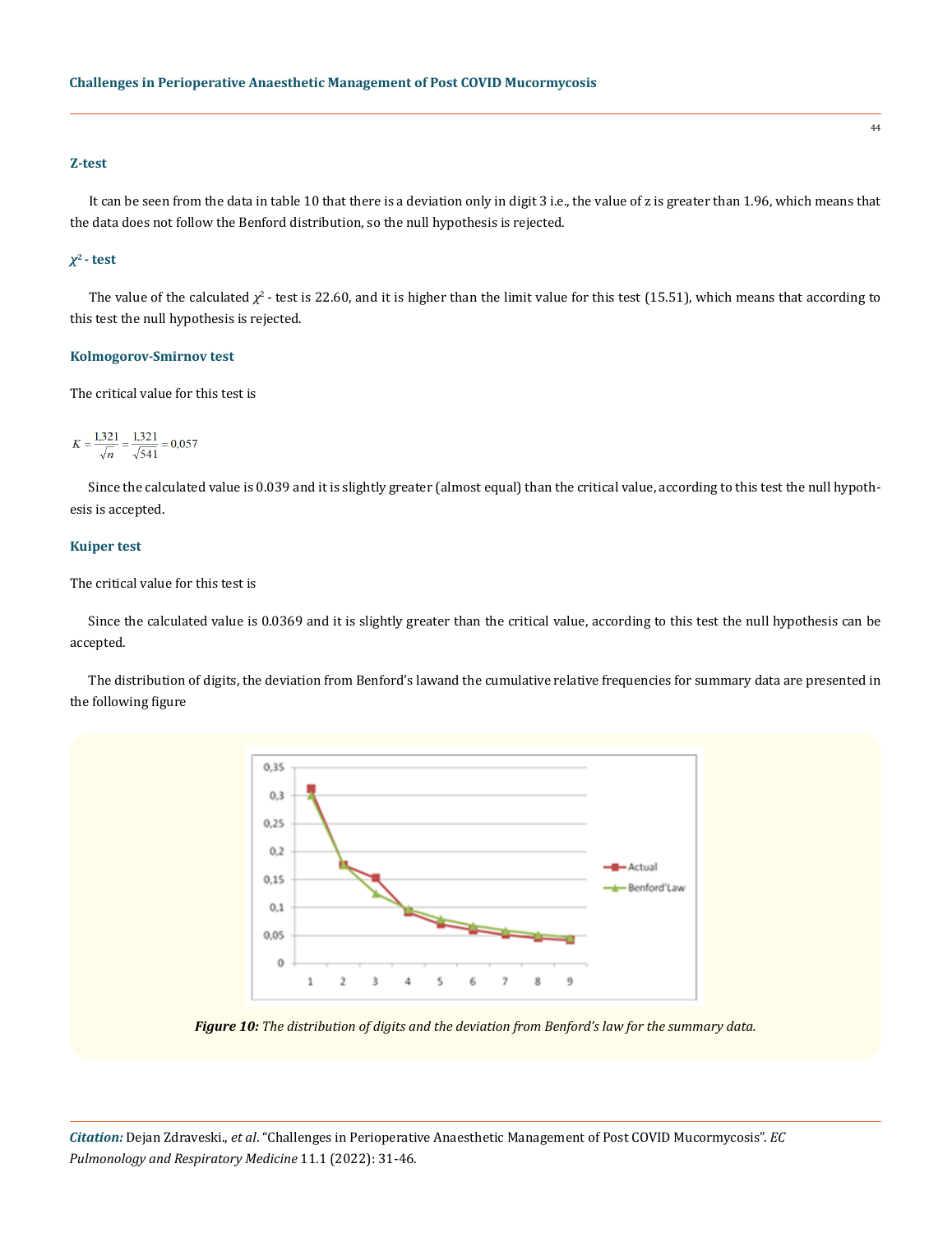## **Z-test**

It can be seen from the data in table 10 that there is a deviation only in digit 3 i.e., the value of z is greater than 1.96, which means that the data does not follow the Benford distribution, so the null hypothesis is rejected.

## *χ***2 - test**

The value of the calculated  $\chi^2$ - test is 22.60, and it is higher than the limit value for this test (15.51), which means that according to this test the null hypothesis is rejected.

#### **Kolmogorov-Smirnov test**

The critical value for this test is

$$
K = \frac{1,321}{\sqrt{n}} = \frac{1,321}{\sqrt{541}} = 0,057
$$

Since the calculated value is 0.039 and it is slightly greater (almost equal) than the critical value, according to this test the null hypothesis is accepted.

#### **Kuiper test**

#### The critical value for this test is

Since the calculated value is 0.0369 and it is slightly greater than the critical value, according to this test the null hypothesis can be accepted.

The distribution of digits, the deviation from Benford's lawand the cumulative relative frequencies for summary data are presented in the following figure



*Figure 10: The distribution of digits and the deviation from Benford's law for the summary data.*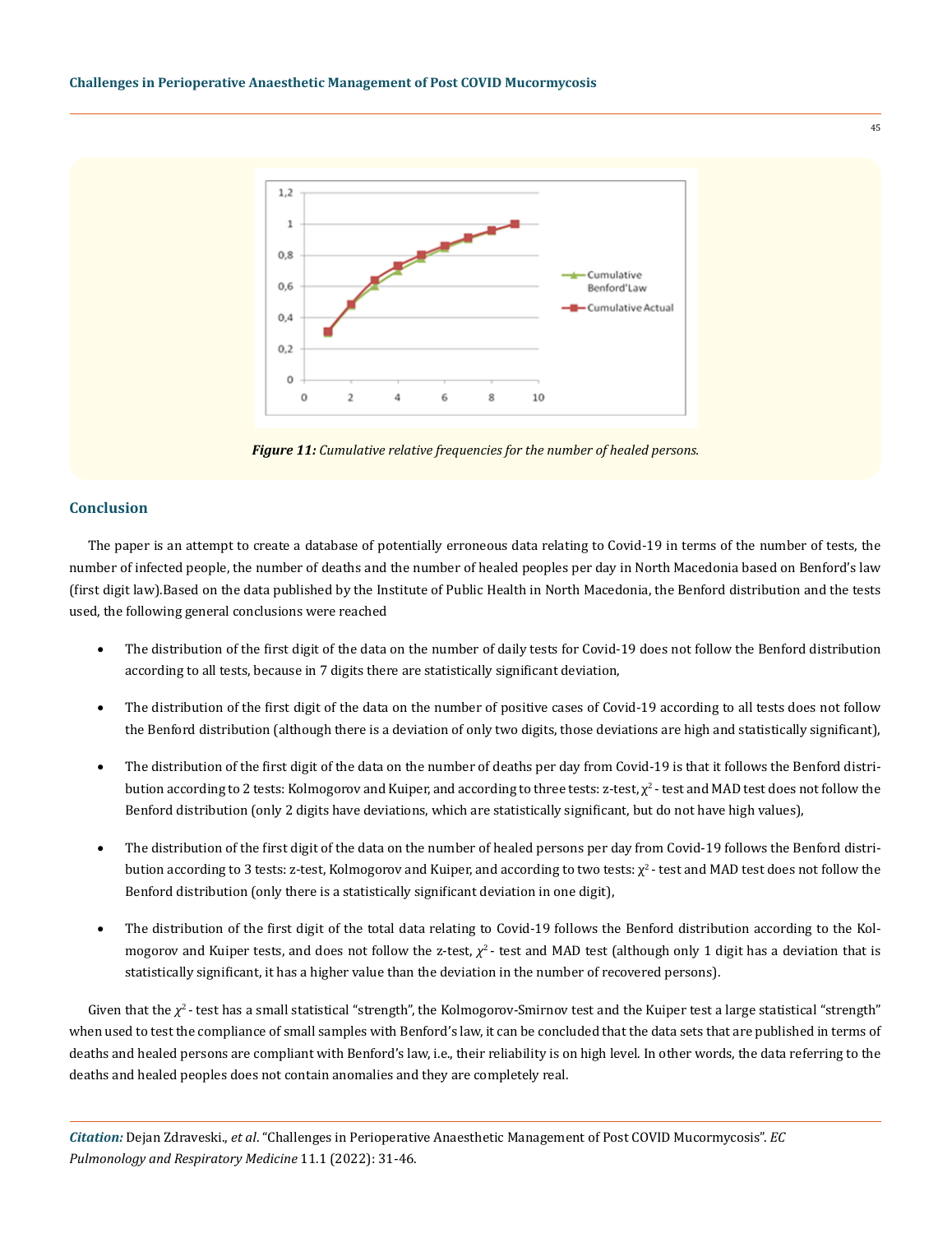

*Figure 11: Cumulative relative frequencies for the number of healed persons.*

#### **Conclusion**

The paper is an attempt to create a database of potentially erroneous data relating to Covid-19 in terms of the number of tests, the number of infected people, the number of deaths and the number of healed peoples per day in North Macedonia based on Benford's law (first digit law).Based on the data published by the Institute of Public Health in North Macedonia, the Benford distribution and the tests used, the following general conclusions were reached

- The distribution of the first digit of the data on the number of daily tests for Covid-19 does not follow the Benford distribution according to all tests, because in 7 digits there are statistically significant deviation,
- The distribution of the first digit of the data on the number of positive cases of Covid-19 according to all tests does not follow the Benford distribution (although there is a deviation of only two digits, those deviations are high and statistically significant),
- The distribution of the first digit of the data on the number of deaths per day from Covid-19 is that it follows the Benford distribution according to 2 tests: Kolmogorov and Kuiper, and according to three tests: z-test,  $\chi^2$ -test and MAD test does not follow the Benford distribution (only 2 digits have deviations, which are statistically significant, but do not have high values),
- The distribution of the first digit of the data on the number of healed persons per day from Covid-19 follows the Benford distribution according to 3 tests: z-test, Kolmogorov and Kuiper, and according to two tests:  $\chi^2$ -test and MAD test does not follow the Benford distribution (only there is a statistically significant deviation in one digit),
- The distribution of the first digit of the total data relating to Covid-19 follows the Benford distribution according to the Kolmogorov and Kuiper tests, and does not follow the z-test,  $χ²$ - test and MAD test (although only 1 digit has a deviation that is statistically significant, it has a higher value than the deviation in the number of recovered persons).

Given that the  $\chi^2$ - test has a small statistical "strength", the Kolmogorov-Smirnov test and the Kuiper test a large statistical "strength" when used to test the compliance of small samples with Benford's law, it can be concluded that the data sets that are published in terms of deaths and healed persons are compliant with Benford's law, i.e., their reliability is on high level. In other words, the data referring to the deaths and healed peoples does not contain anomalies and they are completely real.